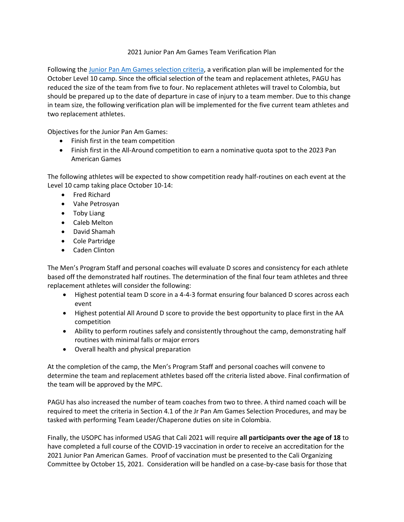## 2021 Junior Pan Am Games Team Verification Plan

Following the [Junior Pan Am Games selection criteria,](https://usagym.org/PDFs/Pressbox/Selection%20Procedures/m_21jrpanam.pdf) a verification plan will be implemented for the October Level 10 camp. Since the official selection of the team and replacement athletes, PAGU has reduced the size of the team from five to four. No replacement athletes will travel to Colombia, but should be prepared up to the date of departure in case of injury to a team member. Due to this change in team size, the following verification plan will be implemented for the five current team athletes and two replacement athletes.

Objectives for the Junior Pan Am Games:

- Finish first in the team competition
- Finish first in the All-Around competition to earn a nominative quota spot to the 2023 Pan American Games

The following athletes will be expected to show competition ready half-routines on each event at the Level 10 camp taking place October 10-14:

- Fred Richard
- Vahe Petrosyan
- Toby Liang
- Caleb Melton
- David Shamah
- Cole Partridge
- Caden Clinton

The Men's Program Staff and personal coaches will evaluate D scores and consistency for each athlete based off the demonstrated half routines. The determination of the final four team athletes and three replacement athletes will consider the following:

- Highest potential team D score in a 4-4-3 format ensuring four balanced D scores across each event
- Highest potential All Around D score to provide the best opportunity to place first in the AA competition
- Ability to perform routines safely and consistently throughout the camp, demonstrating half routines with minimal falls or major errors
- Overall health and physical preparation

At the completion of the camp, the Men's Program Staff and personal coaches will convene to determine the team and replacement athletes based off the criteria listed above. Final confirmation of the team will be approved by the MPC.

PAGU has also increased the number of team coaches from two to three. A third named coach will be required to meet the criteria in Section 4.1 of the Jr Pan Am Games Selection Procedures, and may be tasked with performing Team Leader/Chaperone duties on site in Colombia.

Finally, the USOPC has informed USAG that Cali 2021 will require **all participants over the age of 18** to have completed a full course of the COVID-19 vaccination in order to receive an accreditation for the 2021 Junior Pan American Games. Proof of vaccination must be presented to the Cali Organizing Committee by October 15, 2021. Consideration will be handled on a case-by-case basis for those that